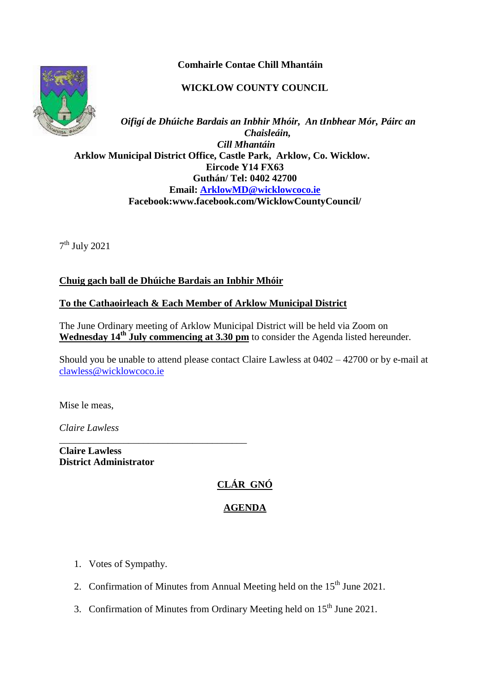**Comhairle Contae Chill Mhantáin**

## **WICKLOW COUNTY COUNCIL**



*Oifigí de Dhúiche Bardais an Inbhir Mhóir, An tInbhear Mór, Páirc an Chaisleáin, Cill Mhantáin*  **Arklow Municipal District Office, Castle Park, Arklow, Co. Wicklow. Eircode Y14 FX63 Guthán/ Tel: 0402 42700 Email: [ArklowMD@wicklowcoco.ie](mailto:ArklowMD@wicklowcoco.ie)  Facebook:www.facebook.com/WicklowCountyCouncil/**

7 th July 2021

### **Chuig gach ball de Dhúiche Bardais an Inbhir Mhóir**

#### **To the Cathaoirleach & Each Member of Arklow Municipal District**

The June Ordinary meeting of Arklow Municipal District will be held via Zoom on Wednesday 14<sup>th</sup> July commencing at 3.30 pm to consider the Agenda listed hereunder.

Should you be unable to attend please contact Claire Lawless at 0402 – 42700 or by e-mail at [clawless@wicklowcoco.ie](mailto:clawless@wicklowcoco.ie)

Mise le meas,

*Claire Lawless*

**Claire Lawless District Administrator** 

\_\_\_\_\_\_\_\_\_\_\_\_\_\_\_\_\_\_\_\_\_\_\_\_\_\_\_\_\_\_\_\_\_\_\_\_\_\_

# **CLÁR GNÓ**

# **AGENDA**

- 1. Votes of Sympathy.
- 2. Confirmation of Minutes from Annual Meeting held on the  $15<sup>th</sup>$  June 2021.
- 3. Confirmation of Minutes from Ordinary Meeting held on 15<sup>th</sup> June 2021.